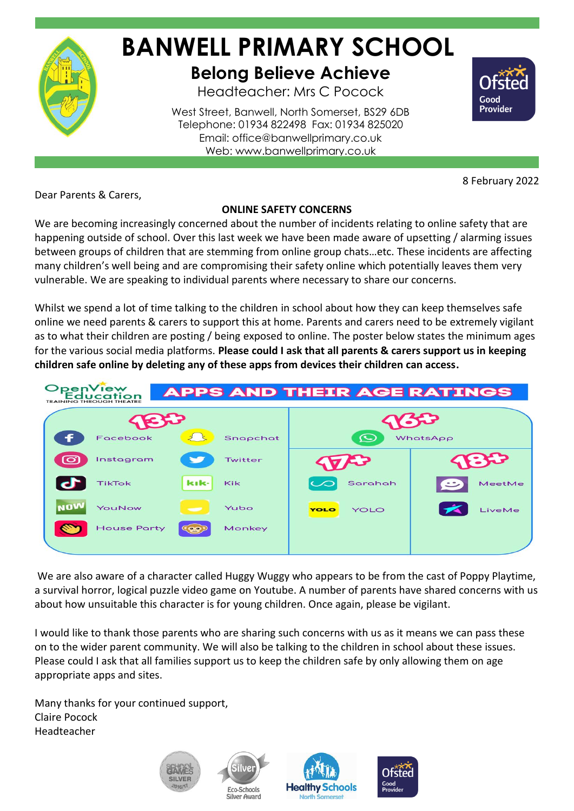

## **BANWELL PRIMARY SCHOOL Belong Believe Achieve**

Headteacher: Mrs C Pocock

West Street, Banwell, North Somerset, BS29 6DB Telephone: 01934 822498 Fax: 01934 825020 Email: office@banwellprimary.co.uk Web: www.banwellprimary.co.uk

8 February 2022

Good Provider

Dear Parents & Carers,

## **ONLINE SAFETY CONCERNS**

We are becoming increasingly concerned about the number of incidents relating to online safety that are happening outside of school. Over this last week we have been made aware of upsetting / alarming issues between groups of children that are stemming from online group chats…etc. These incidents are affecting many children's well being and are compromising their safety online which potentially leaves them very vulnerable. We are speaking to individual parents where necessary to share our concerns.

Whilst we spend a lot of time talking to the children in school about how they can keep themselves safe online we need parents & carers to support this at home. Parents and carers need to be extremely vigilant as to what their children are posting / being exposed to online. The poster below states the minimum ages for the various social media platforms. **Please could I ask that all parents & carers support us in keeping children safe online by deleting any of these apps from devices their children can access.**



We are also aware of a character called Huggy Wuggy who appears to be from the cast of Poppy Playtime, a survival horror, logical puzzle video game on Youtube. A number of parents have shared concerns with us about how unsuitable this character is for young children. Once again, please be vigilant.

I would like to thank those parents who are sharing such concerns with us as it means we can pass these on to the wider parent community. We will also be talking to the children in school about these issues. Please could I ask that all families support us to keep the children safe by only allowing them on age appropriate apps and sites.

Many thanks for your continued support, Claire Pocock Headteacher